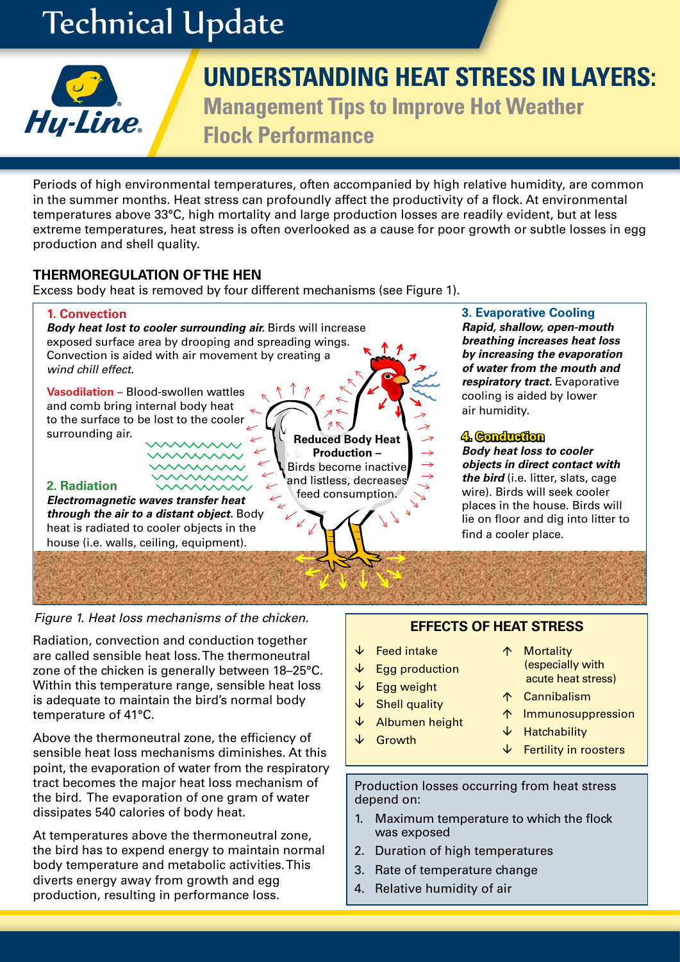# Technical Update



## **UNDERSTANDING HEAT STRESS IN LAYERS:**

**Management Tips to Improve Hot Weather Flock Performance**

Periods of high environmental temperatures, often accompanied by high relative humidity, are common in the summer months. Heat stress can profoundly affect the productivity of a flock. At environmental temperatures above 33°C, high mortality and large production losses are readily evident, but at less extreme temperatures, heat stress is often overlooked as a cause for poor growth or subtle losses in egg production and shell quality.

#### **THERMOREGULATION OF THE HEN**

Excess body heat is removed by four different mechanisms (see Figure 1).



### **Figure 1. Heat loss mechanisms of the chicken. EFFECTS OF HEAT STRESS**

Radiation, convection and conduction together are called sensible heat loss. The thermoneutral zone of the chicken is generally between 18–25°C. Within this temperature range, sensible heat loss is adequate to maintain the bird's normal body temperature of 41°C.

Above the thermoneutral zone, the efficiency of sensible heat loss mechanisms diminishes. At this point, the evaporation of water from the respiratory tract becomes the major heat loss mechanism of the bird. The evaporation of one gram of water dissipates 540 calories of body heat.

At temperatures above the thermoneutral zone, the bird has to expend energy to maintain normal body temperature and metabolic activities. This diverts energy away from growth and egg production, resulting in performance loss.

- $\sqrt{\phantom{a}}$  Feed intake
- $\downarrow$  Egg production
- $\sqrt{\phantom{a}}$  Egg weight
- $\sqrt{\ }$  Shell quality
- $\downarrow$  Albumen height
- ↓ Growth
- 

Production losses occurring from heat stress depend on:

- 1. Maximum temperature to which the flock was exposed
- 2. Duration of high temperatures
- 3. Rate of temperature change
- 4. Relative humidity of air
- 个 Mortality (especially with acute heat stress)
- Cannibalism
- Immunosuppression
- $\downarrow$  Hatchability
- $\sqrt{\ }$  Fertility in roosters
-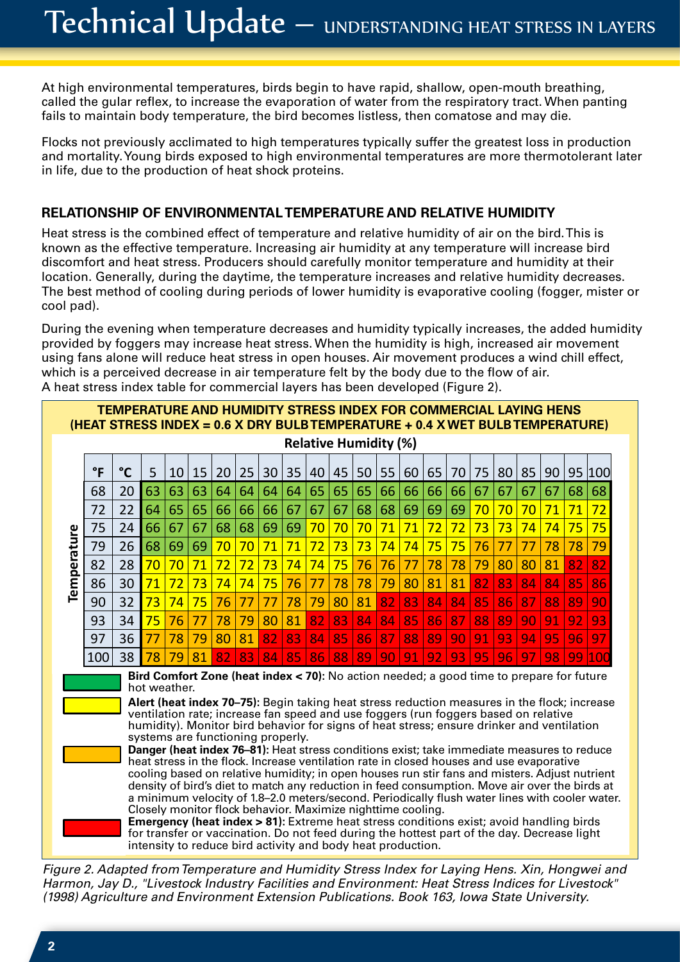At high environmental temperatures, birds begin to have rapid, shallow, open-mouth breathing, called the gular reflex, to increase the evaporation of water from the respiratory tract. When panting fails to maintain body temperature, the bird becomes listless, then comatose and may die.

Flocks not previously acclimated to high temperatures typically suffer the greatest loss in production and mortality. Young birds exposed to high environmental temperatures are more thermotolerant later in life, due to the production of heat shock proteins.

#### **RELATIONSHIP OF ENVIRONMENTAL TEMPERATURE AND RELATIVE HUMIDITY**

Heat stress is the combined effect of temperature and relative humidity of air on the bird. This is known as the effective temperature. Increasing air humidity at any temperature will increase bird discomfort and heat stress. Producers should carefully monitor temperature and humidity at their location. Generally, during the daytime, the temperature increases and relative humidity decreases. The best method of cooling during periods of lower humidity is evaporative cooling (fogger, mister or cool pad).

cool pad).<br>During the evening when temperature decreases and humidity typically increases, the added humidity provided by foggers may increase heat stress. When the humidity is high, increased air movement using fans alone will reduce heat stress in open houses. Air movement produces a wind chill effect, which is a perceived decrease in air temperature felt by the body due to the flow of air. A heat stress index table for commercial layers has been developed (Figure 2).

|                                                                                                                                                                                                  |                                                                                              | <b>TEMPERATURE AND HUMIDITY STRESS INDEX FOR COMMERCIAL LAYING HENS</b> |    |    |    |    |                 |    |    |    |    |    |    |    |    |    |    |    |    |    |    |        |
|--------------------------------------------------------------------------------------------------------------------------------------------------------------------------------------------------|----------------------------------------------------------------------------------------------|-------------------------------------------------------------------------|----|----|----|----|-----------------|----|----|----|----|----|----|----|----|----|----|----|----|----|----|--------|
| (HEAT STRESS INDEX = 0.6 X DRY BULB TEMPERATURE + 0.4 X WET BULB TEMPERATURE)<br><b>Relative Humidity (%)</b>                                                                                    |                                                                                              |                                                                         |    |    |    |    |                 |    |    |    |    |    |    |    |    |    |    |    |    |    |    |        |
|                                                                                                                                                                                                  |                                                                                              |                                                                         |    |    |    |    |                 |    |    |    |    |    |    |    |    |    |    |    |    |    |    |        |
|                                                                                                                                                                                                  | $\mathsf{P}$                                                                                 | $^{\circ}$ C                                                            | 5  | 10 | 15 | 20 | 25              | 30 | 35 | 40 | 45 | 50 | 55 | 60 | 65 | 70 | 75 | 80 | 85 | 90 |    | 95 100 |
|                                                                                                                                                                                                  | 68                                                                                           | 20                                                                      | 63 | 63 | 63 | 64 | 64              | 64 | 64 | 65 | 65 | 65 | 66 | 66 | 66 | 66 | 67 | 67 | 67 | 67 | 68 | 68     |
|                                                                                                                                                                                                  | 72                                                                                           | 22                                                                      | 64 | 65 | 65 | 66 | 66              | 66 | 67 | 67 | 67 | 68 | 68 | 69 | 69 | 69 | 70 | 70 | 70 | 71 | 71 | 72     |
|                                                                                                                                                                                                  | 75                                                                                           | 24                                                                      | 66 | 67 | 67 | 68 | 68              | 69 | 69 | 70 | 70 | 70 | 71 | 71 | 72 | 72 | 73 | 73 | 74 | 74 | 75 | 75     |
|                                                                                                                                                                                                  | 79                                                                                           | 26                                                                      | 68 | 69 | 69 | 70 | 70              | 71 | 71 | 72 | 73 | 73 | 74 | 74 | 75 | 75 | 76 | 77 | 77 | 78 | 78 | 79     |
| Temperature                                                                                                                                                                                      | 82                                                                                           | 28                                                                      | 70 | 70 | 71 | 72 | 72              | 73 | 74 | 74 | 75 | 76 | 76 | 77 | 78 | 78 | 79 | 80 | 80 | 81 | 82 | 82     |
|                                                                                                                                                                                                  | 86                                                                                           | 30                                                                      | 71 | 72 | 73 | 74 | 74              | 75 | 76 | 77 | 78 | 78 | 79 | 80 | 81 | 81 | 82 | 83 | 84 | 84 | 85 | 86     |
|                                                                                                                                                                                                  | 90                                                                                           | 32                                                                      | 73 | 74 | 75 | 76 | 77              | 77 | 78 | 79 | 80 | 81 | 82 | 83 | 84 | 84 | 85 | 86 | 87 | 88 | 89 | 90     |
|                                                                                                                                                                                                  | 93                                                                                           | 34                                                                      | 75 | 76 | 77 | 78 | 79              | 80 | 81 | 82 | 83 | 84 | 84 | 85 | 86 | 87 | 88 | 89 | 90 | 91 | 92 | 93     |
|                                                                                                                                                                                                  | 97                                                                                           | 36                                                                      | 77 | 78 | 79 | 80 | 81              | 82 | 83 | 84 | 85 | 86 | 87 | 88 | 89 | 90 | 91 | 93 | 94 | 95 | 96 | 97     |
|                                                                                                                                                                                                  | 100                                                                                          | 38                                                                      | 78 | 79 | 81 | 82 | 83 <sup>1</sup> | 84 | 85 | 86 | 88 | 89 | 90 | 91 | 92 | 93 | 95 | 96 | 97 | 98 | 99 | 100    |
| Bird Comfort Zone (heat index < 70): No action needed; a good time to prepare for future<br>hot weather.                                                                                         |                                                                                              |                                                                         |    |    |    |    |                 |    |    |    |    |    |    |    |    |    |    |    |    |    |    |        |
|                                                                                                                                                                                                  | Alert (heat index 70–75): Begin taking heat stress reduction measures in the flock; increase |                                                                         |    |    |    |    |                 |    |    |    |    |    |    |    |    |    |    |    |    |    |    |        |
| ventilation rate; increase fan speed and use foggers (run foggers based on relative                                                                                                              |                                                                                              |                                                                         |    |    |    |    |                 |    |    |    |    |    |    |    |    |    |    |    |    |    |    |        |
| humidity). Monitor bird behavior for signs of heat stress; ensure drinker and ventilation<br>systems are functioning properly.                                                                   |                                                                                              |                                                                         |    |    |    |    |                 |    |    |    |    |    |    |    |    |    |    |    |    |    |    |        |
| Danger (heat index 76-81): Heat stress conditions exist; take immediate measures to reduce<br>heat stress in the flock. Increase ventilation rate in closed houses and use evaporative           |                                                                                              |                                                                         |    |    |    |    |                 |    |    |    |    |    |    |    |    |    |    |    |    |    |    |        |
| cooling based on relative humidity; in open houses run stir fans and misters. Adjust nutrient                                                                                                    |                                                                                              |                                                                         |    |    |    |    |                 |    |    |    |    |    |    |    |    |    |    |    |    |    |    |        |
| density of bird's diet to match any reduction in feed consumption. Move air over the birds at<br>a minimum velocity of 1.8-2.0 meters/second. Periodically flush water lines with cooler water.  |                                                                                              |                                                                         |    |    |    |    |                 |    |    |    |    |    |    |    |    |    |    |    |    |    |    |        |
| Closely monitor flock behavior. Maximize nighttime cooling.                                                                                                                                      |                                                                                              |                                                                         |    |    |    |    |                 |    |    |    |    |    |    |    |    |    |    |    |    |    |    |        |
| <b>Emergency (heat index &gt; 81):</b> Extreme heat stress conditions exist; avoid handling birds<br>for transfer or vaccination. Do not feed during the hottest part of the day. Decrease light |                                                                                              |                                                                         |    |    |    |    |                 |    |    |    |    |    |    |    |    |    |    |    |    |    |    |        |
| intensity to reduce bird activity and body heat production.                                                                                                                                      |                                                                                              |                                                                         |    |    |    |    |                 |    |    |    |    |    |    |    |    |    |    |    |    |    |    |        |
|                                                                                                                                                                                                  |                                                                                              |                                                                         |    |    |    |    |                 |    |    |    |    |    |    |    |    |    |    |    |    |    |    |        |

*Figure 2. Adapted from Temperature and Humidity Stress Index for Laying Hens. Xin, Hongwei and Harmon, Jay D., "Livestock Industry Facilities and Environment: Heat Stress Indices for Livestock" (1998) Agriculture and Environment Extension Publications. Book 163, Iowa State University.*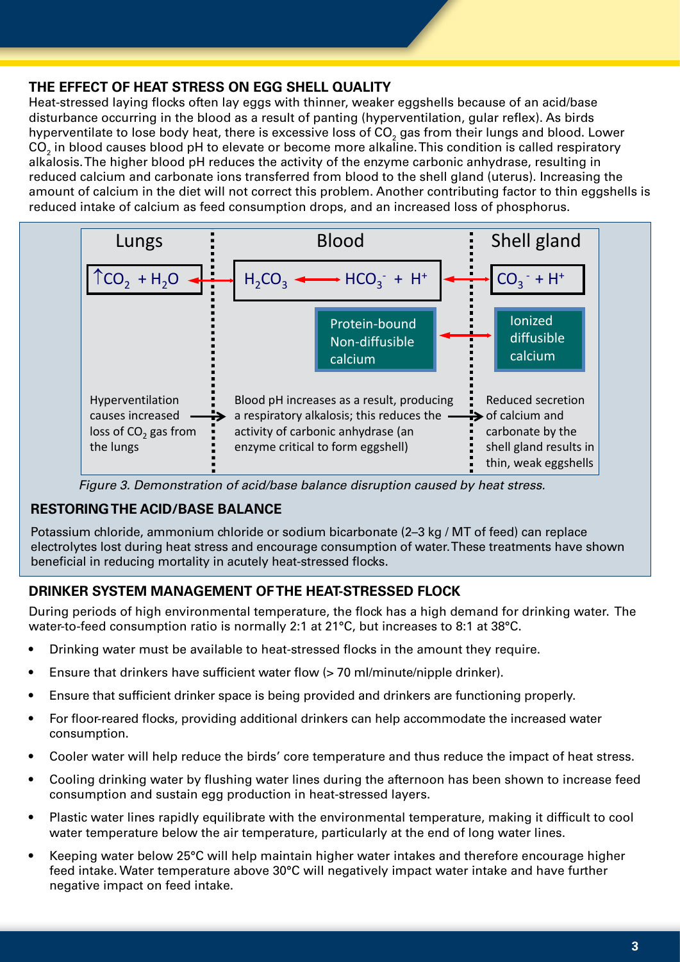#### **THE EFFECT OF HEAT STRESS ON EGG SHELL QUALITY**

Heat-stressed laying flocks often lay eggs with thinner, weaker eggshells because of an acid/base disturbance occurring in the blood as a result of panting (hyperventilation, gular reflex). As birds hyperventilate to lose body heat, there is excessive loss of CO $_{\textrm{\tiny{2}}}$  gas from their lungs and blood. Lower CO $_{\rm 2}$  in blood causes blood pH to elevate or become more alkaline. This condition is called respiratory alkalosis. The higher blood pH reduces the activity of the enzyme carbonic anhydrase, resulting in reduced calcium and carbonate ions transferred from blood to the shell gland (uterus). Increasing the amount of calcium in the diet will not correct this problem. Another contributing factor to thin eggshells is reduced intake of calcium as feed consumption drops, and an increased loss of phosphorus.



*Figure 3. Demonstration of acid/base balance disruption caused by heat stress.*

#### **RESTORING THE ACID/BASE BALANCE**

Potassium chloride, ammonium chloride or sodium bicarbonate (2–3 kg / MT of feed) can replace electrolytes lost during heat stress and encourage consumption of water. These treatments have shown beneficial in reducing mortality in acutely heat-stressed flocks.

#### **DRINKER SYSTEM MANAGEMENT OF THE HEAT-STRESSED FLOCK**

During periods of high environmental temperature, the flock has a high demand for drinking water. The water-to-feed consumption ratio is normally 2:1 at 21°C, but increases to 8:1 at 38°C.

- Drinking water must be available to heat-stressed flocks in the amount they require.
- Ensure that drinkers have sufficient water flow (> 70 ml/minute/nipple drinker).
- Ensure that sufficient drinker space is being provided and drinkers are functioning properly.
- For floor-reared flocks, providing additional drinkers can help accommodate the increased water consumption.
- Cooler water will help reduce the birds' core temperature and thus reduce the impact of heat stress.
- Cooling drinking water by flushing water lines during the afternoon has been shown to increase feed consumption and sustain egg production in heat-stressed layers.
- Plastic water lines rapidly equilibrate with the environmental temperature, making it difficult to cool water temperature below the air temperature, particularly at the end of long water lines.
- Keeping water below 25°C will help maintain higher water intakes and therefore encourage higher feed intake. Water temperature above 30°C will negatively impact water intake and have further negative impact on feed intake.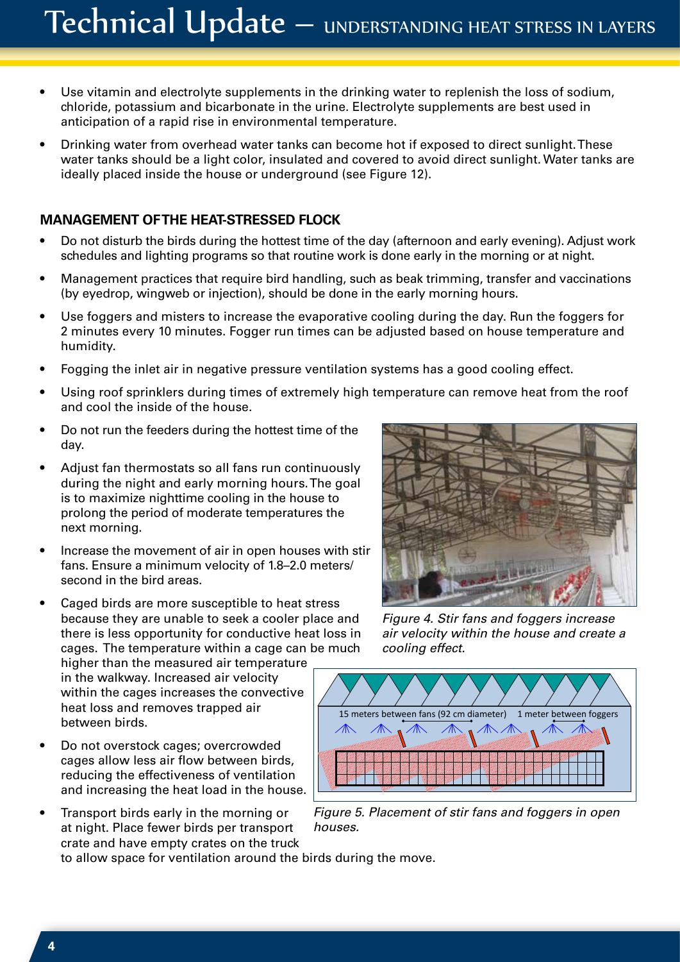- Use vitamin and electrolyte supplements in the drinking water to replenish the loss of sodium, chloride, potassium and bicarbonate in the urine. Electrolyte supplements are best used in anticipation of a rapid rise in environmental temperature.
- Drinking water from overhead water tanks can become hot if exposed to direct sunlight. These water tanks should be a light color, insulated and covered to avoid direct sunlight. Water tanks are ideally placed inside the house or underground (see Figure 12).

#### **MANAGEMENT OF THE HEAT-STRESSED FLOCK**

- Do not disturb the birds during the hottest time of the day (afternoon and early evening). Adjust work schedules and lighting programs so that routine work is done early in the morning or at night.
- Management practices that require bird handling, such as beak trimming, transfer and vaccinations (by eyedrop, wingweb or injection), should be done in the early morning hours.
- Use foggers and misters to increase the evaporative cooling during the day. Run the foggers for 2 minutes every 10 minutes. Fogger run times can be adjusted based on house temperature and humidity.
- Fogging the inlet air in negative pressure ventilation systems has a good cooling effect.
- Using roof sprinklers during times of extremely high temperature can remove heat from the roof and cool the inside of the house.
- Do not run the feeders during the hottest time of the day.
- Adjust fan thermostats so all fans run continuously during the night and early morning hours. The goal is to maximize nighttime cooling in the house to prolong the period of moderate temperatures the next morning.
- Increase the movement of air in open houses with stir fans. Ensure a minimum velocity of 1.8–2.0 meters/ second in the bird areas.
- Caged birds are more susceptible to heat stress because they are unable to seek a cooler place and there is less opportunity for conductive heat loss in cages. The temperature within a cage can be much higher than the measured air temperature

in the walkway. Increased air velocity within the cages increases the convective heat loss and removes trapped air between birds.

- Do not overstock cages; overcrowded cages allow less air flow between birds, reducing the effectiveness of ventilation and increasing the heat load in the house.
- Transport birds early in the morning or at night. Place fewer birds per transport crate and have empty crates on the truck

to allow space for ventilation around the birds during the move.



*Figure 4. Stir fans and foggers increase air velocity within the house and create a cooling effect.*



*Figure 5. Placement of stir fans and foggers in open houses.*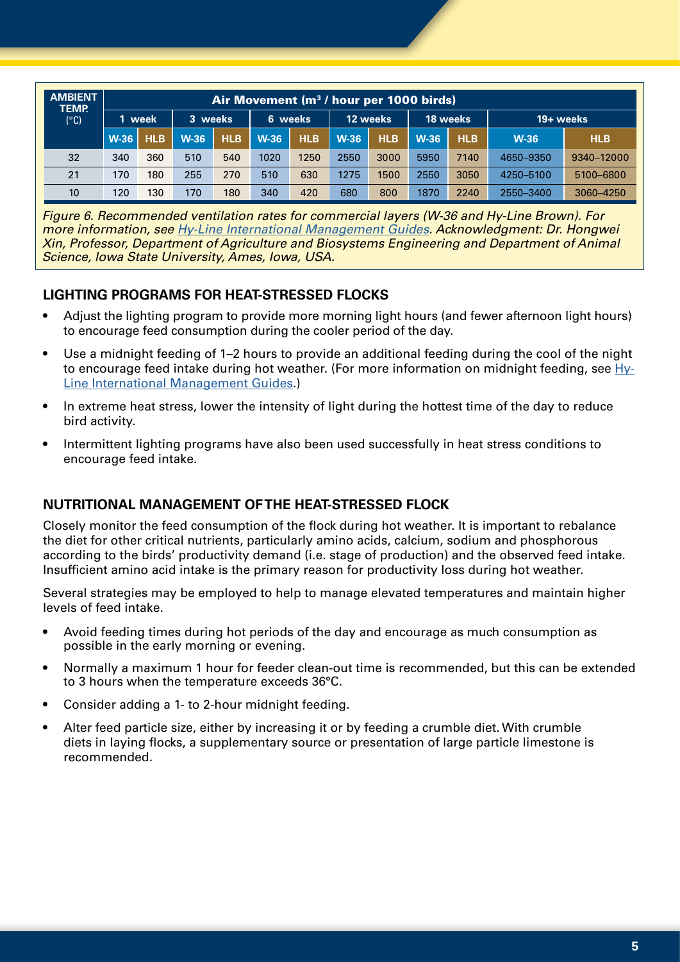| <b>AMBIENT</b><br><b>TEMP.</b><br>$(^{\circ}C)$ |        | Air Movement (m <sup>3</sup> /hour per 1000 birds) |         |            |         |            |             |            |        |            |             |            |  |  |  |
|-------------------------------------------------|--------|----------------------------------------------------|---------|------------|---------|------------|-------------|------------|--------|------------|-------------|------------|--|--|--|
|                                                 |        | week                                               | 3 weeks |            | 6 weeks |            |             | 12 weeks   |        | 18 weeks   | 19+ weeks   |            |  |  |  |
|                                                 | $W-36$ | <b>HLB</b>                                         | $W-36$  | <b>HLB</b> | $W-36$  | <b>HLB</b> | <b>W-36</b> | <b>HLB</b> | $W-36$ | <b>HLB</b> | <b>W-36</b> | <b>HLB</b> |  |  |  |
| 32                                              | 340    | 360                                                | 510     | 540        | 1020    | 1250       | 2550        | 3000       | 5950   | 7140       | 4650-9350   | 9340-12000 |  |  |  |
| 21                                              | 170    | 180                                                | 255     | 270        | 510     | 630        | 1275        | 1500       | 2550   | 3050       | 4250-5100   | 5100-6800  |  |  |  |
| 10 <sup>°</sup>                                 | 120    | 130                                                | 170     | 180        | 340     | 420        | 680         | 800        | 1870   | 2240       | 2550-3400   | 3060-4250  |  |  |  |

*Figure 6. Recommended ventilation rates for commercial layers (W-36 and Hy-Line Brown). For more information, see Hy-Line International Management Guides. Acknowledgment: Dr. Hongwei Xin, Professor, Department of Agriculture and Biosystems Engineering and Department of Animal Science, Iowa State University, Ames, Iowa, USA.*

#### **LIGHTING PROGRAMS FOR HEAT-STRESSED FLOCKS**

- Adjust the lighting program to provide more morning light hours (and fewer afternoon light hours) to encourage feed consumption during the cooler period of the day.
- Use a midnight feeding of 1–2 hours to provide an additional feeding during the cool of the night to encourage feed intake during hot weather. (For more information on midnight feeding, see Hy-Line International Management Guides.)
- In extreme heat stress, lower the intensity of light during the hottest time of the day to reduce bird activity.
- Intermittent lighting programs have also been used successfully in heat stress conditions to encourage feed intake.

#### **NUTRITIONAL MANAGEMENT OF THE HEAT-STRESSED FLOCK**

Closely monitor the feed consumption of the flock during hot weather. It is important to rebalance the diet for other critical nutrients, particularly amino acids, calcium, sodium and phosphorous according to the birds' productivity demand (i.e. stage of production) and the observed feed intake. Insufficient amino acid intake is the primary reason for productivity loss during hot weather.

Several strategies may be employed to help to manage elevated temperatures and maintain higher levels of feed intake.

- Avoid feeding times during hot periods of the day and encourage as much consumption as possible in the early morning or evening.
- Normally a maximum 1 hour for feeder clean-out time is recommended, but this can be extended to 3 hours when the temperature exceeds 36°C.
- Consider adding a 1- to 2-hour midnight feeding.
- Alter feed particle size, either by increasing it or by feeding a crumble diet. With crumble diets in laying flocks, a supplementary source or presentation of large particle limestone is recommended.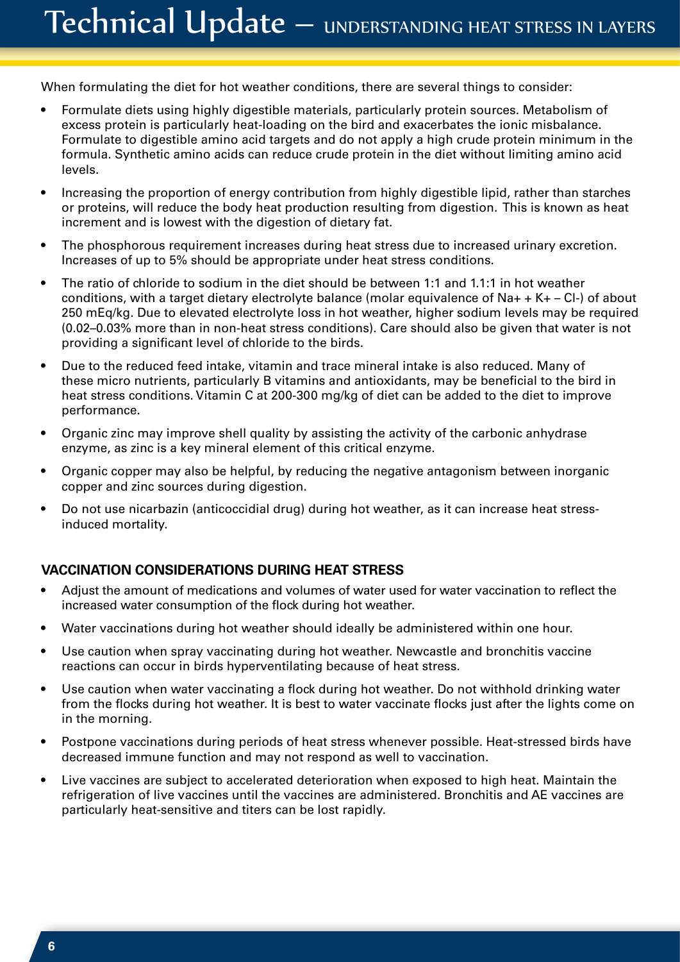When formulating the diet for hot weather conditions, there are several things to consider:

- Formulate diets using highly digestible materials, particularly protein sources. Metabolism of excess protein is particularly heat-loading on the bird and exacerbates the ionic misbalance. Formulate to digestible amino acid targets and do not apply a high crude protein minimum in the formula. Synthetic amino acids can reduce crude protein in the diet without limiting amino acid levels.
- Increasing the proportion of energy contribution from highly digestible lipid, rather than starches or proteins, will reduce the body heat production resulting from digestion. This is known as heat increment and is lowest with the digestion of dietary fat.
- The phosphorous requirement increases during heat stress due to increased urinary excretion. Increases of up to 5% should be appropriate under heat stress conditions.
- The ratio of chloride to sodium in the diet should be between 1:1 and 1.1:1 in hot weather conditions, with a target dietary electrolyte balance (molar equivalence of Na+ + K+ – Cl-) of about 250 mEq/kg. Due to elevated electrolyte loss in hot weather, higher sodium levels may be required (0.02–0.03% more than in non-heat stress conditions). Care should also be given that water is not providing a significant level of chloride to the birds.
- Due to the reduced feed intake, vitamin and trace mineral intake is also reduced. Many of these micro nutrients, particularly B vitamins and antioxidants, may be beneficial to the bird in heat stress conditions. Vitamin C at 200-300 mg/kg of diet can be added to the diet to improve performance.
- Organic zinc may improve shell quality by assisting the activity of the carbonic anhydrase enzyme, as zinc is a key mineral element of this critical enzyme.
- Organic copper may also be helpful, by reducing the negative antagonism between inorganic copper and zinc sources during digestion.
- Do not use nicarbazin (anticoccidial drug) during hot weather, as it can increase heat stressinduced mortality.

#### **VACCINATION CONSIDERATIONS DURING HEAT STRESS**

- Adjust the amount of medications and volumes of water used for water vaccination to reflect the increased water consumption of the flock during hot weather.
- Water vaccinations during hot weather should ideally be administered within one hour.
- Use caution when spray vaccinating during hot weather. Newcastle and bronchitis vaccine reactions can occur in birds hyperventilating because of heat stress.
- Use caution when water vaccinating a flock during hot weather. Do not withhold drinking water from the flocks during hot weather. It is best to water vaccinate flocks just after the lights come on in the morning.
- Postpone vaccinations during periods of heat stress whenever possible. Heat-stressed birds have decreased immune function and may not respond as well to vaccination.
- Live vaccines are subject to accelerated deterioration when exposed to high heat. Maintain the refrigeration of live vaccines until the vaccines are administered. Bronchitis and AE vaccines are particularly heat-sensitive and titers can be lost rapidly.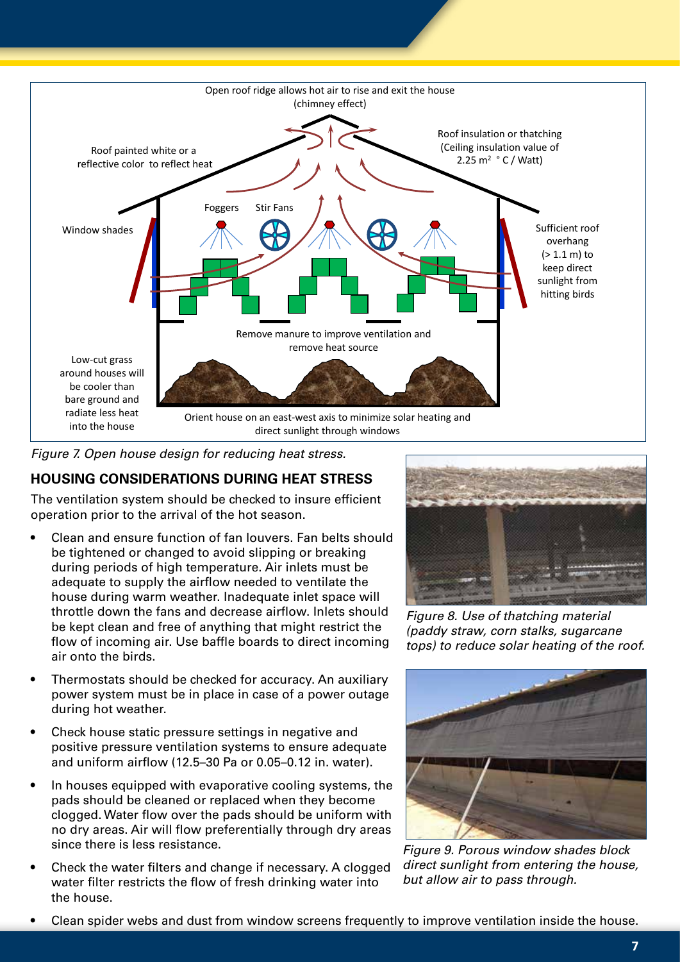

*Figure 7. Open house design for reducing heat stress.* 

#### **HOUSING CONSIDERATIONS DURING HEAT STRESS**

The ventilation system should be checked to insure efficient operation prior to the arrival of the hot season.

- Clean and ensure function of fan louvers. Fan belts should be tightened or changed to avoid slipping or breaking during periods of high temperature. Air inlets must be adequate to supply the airflow needed to ventilate the house during warm weather. Inadequate inlet space will throttle down the fans and decrease airflow. Inlets should be kept clean and free of anything that might restrict the flow of incoming air. Use baffle boards to direct incoming air onto the birds.
- Thermostats should be checked for accuracy. An auxiliary power system must be in place in case of a power outage during hot weather.
- Check house static pressure settings in negative and positive pressure ventilation systems to ensure adequate and uniform airflow (12.5–30 Pa or 0.05–0.12 in. water).
- In houses equipped with evaporative cooling systems, the pads should be cleaned or replaced when they become clogged. Water flow over the pads should be uniform with no dry areas. Air will flow preferentially through dry areas since there is less resistance.
- Check the water filters and change if necessary. A clogged water filter restricts the flow of fresh drinking water into the house.



*Figure 8. Use of thatching material (paddy straw, corn stalks, sugarcane tops) to reduce solar heating of the roof.*



*Figure 9. Porous window shades block direct sunlight from entering the house, but allow air to pass through.*

• Clean spider webs and dust from window screens frequently to improve ventilation inside the house.